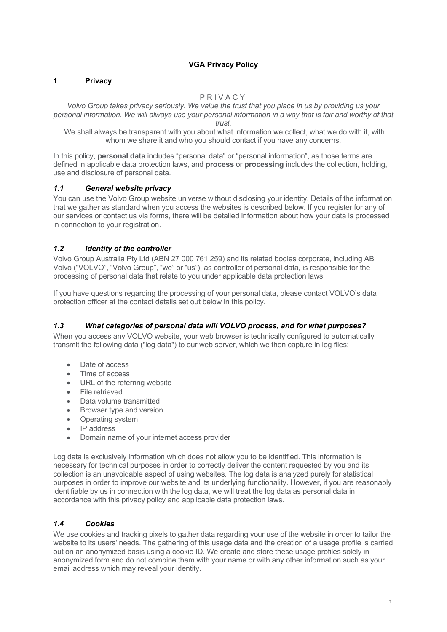### **VGA Privacy Policy**

### **1 Privacy**

### PRIVACY

*Volvo Group takes privacy seriously. We value the trust that you place in us by providing us your personal information. We will always use your personal information in a way that is fair and worthy of that* 

*trust.*

 We shall always be transparent with you about what information we collect, what we do with it, with whom we share it and who you should contact if you have any concerns.

In this policy, **personal data** includes "personal data" or "personal information", as those terms are defined in applicable data protection laws, and **process** or **processing** includes the collection, holding, use and disclosure of personal data.

### *1.1 General website privacy*

You can use the Volvo Group website universe without disclosing your identity. Details of the information that we gather as standard when you access the websites is described below. If you register for any of our services or contact us via forms, there will be detailed information about how your data is processed in connection to your registration.

# *1.2 Identity of the controller*

Volvo Group Australia Pty Ltd (ABN 27 000 761 259) and its related bodies corporate, including AB Volvo ("VOLVO", "Volvo Group", "we" or "us"), as controller of personal data, is responsible for the processing of personal data that relate to you under applicable data protection laws.

If you have questions regarding the processing of your personal data, please contact VOLVO's data protection officer at the contact details set out below in this policy.

# *1.3 What categories of personal data will VOLVO process, and for what purposes?*

When you access any VOLVO website, your web browser is technically configured to automatically transmit the following data ("log data") to our web server, which we then capture in log files:

- Date of access
- Time of access
- URL of the referring website
- File retrieved
- Data volume transmitted
- Browser type and version
- Operating system
- IP address
- Domain name of your internet access provider

Log data is exclusively information which does not allow you to be identified. This information is necessary for technical purposes in order to correctly deliver the content requested by you and its collection is an unavoidable aspect of using websites. The log data is analyzed purely for statistical purposes in order to improve our website and its underlying functionality. However, if you are reasonably identifiable by us in connection with the log data, we will treat the log data as personal data in accordance with this privacy policy and applicable data protection laws.

#### *1.4 Cookies*

We use cookies and tracking pixels to gather data regarding your use of the website in order to tailor the website to its users' needs. The gathering of this usage data and the creation of a usage profile is carried out on an anonymized basis using a cookie ID. We create and store these usage profiles solely in anonymized form and do not combine them with your name or with any other information such as your email address which may reveal your identity.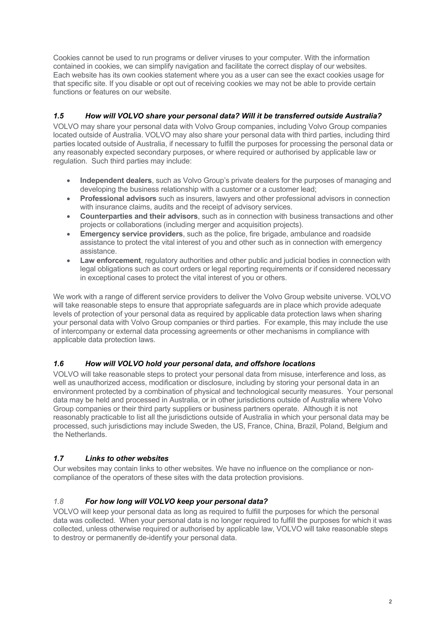Cookies cannot be used to run programs or deliver viruses to your computer. With the information contained in cookies, we can simplify navigation and facilitate the correct display of our websites. Each website has its own cookies statement where you as a user can see the exact cookies usage for that specific site. If you disable or opt out of receiving cookies we may not be able to provide certain functions or features on our website.

# *1.5 How will VOLVO share your personal data? Will it be transferred outside Australia?*

VOLVO may share your personal data with Volvo Group companies, including Volvo Group companies located outside of Australia. VOLVO may also share your personal data with third parties, including third parties located outside of Australia, if necessary to fulfill the purposes for processing the personal data or any reasonably expected secondary purposes, or where required or authorised by applicable law or regulation. Such third parties may include:

- **Independent dealers**, such as Volvo Group's private dealers for the purposes of managing and developing the business relationship with a customer or a customer lead;
- **Professional advisors** such as insurers, lawyers and other professional advisors in connection with insurance claims, audits and the receipt of advisory services.
- **Counterparties and their advisors**, such as in connection with business transactions and other projects or collaborations (including merger and acquisition projects).
- **Emergency service providers**, such as the police, fire brigade, ambulance and roadside assistance to protect the vital interest of you and other such as in connection with emergency assistance.
- **Law enforcement**, regulatory authorities and other public and judicial bodies in connection with legal obligations such as court orders or legal reporting requirements or if considered necessary in exceptional cases to protect the vital interest of you or others.

We work with a range of different service providers to deliver the Volvo Group website universe. VOLVO will take reasonable steps to ensure that appropriate safeguards are in place which provide adequate levels of protection of your personal data as required by applicable data protection laws when sharing your personal data with Volvo Group companies or third parties. For example, this may include the use of intercompany or external data processing agreements or other mechanisms in compliance with applicable data protection laws.

# *1.6 How will VOLVO hold your personal data, and offshore locations*

VOLVO will take reasonable steps to protect your personal data from misuse, interference and loss, as well as unauthorized access, modification or disclosure, including by storing your personal data in an environment protected by a combination of physical and technological security measures. Your personal data may be held and processed in Australia, or in other jurisdictions outside of Australia where Volvo Group companies or their third party suppliers or business partners operate. Although it is not reasonably practicable to list all the jurisdictions outside of Australia in which your personal data may be processed, such jurisdictions may include Sweden, the US, France, China, Brazil, Poland, Belgium and the Netherlands.

# *1.7 Links to other websites*

Our websites may contain links to other websites. We have no influence on the compliance or noncompliance of the operators of these sites with the data protection provisions.

# *1.8 For how long will VOLVO keep your personal data?*

VOLVO will keep your personal data as long as required to fulfill the purposes for which the personal data was collected. When your personal data is no longer required to fulfill the purposes for which it was collected, unless otherwise required or authorised by applicable law, VOLVO will take reasonable steps to destroy or permanently de-identify your personal data.